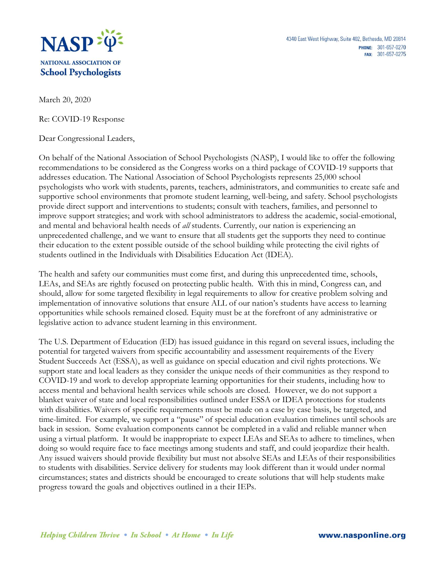

March 20, 2020

Re: COVID-19 Response

Dear Congressional Leaders,

On behalf of the National Association of School Psychologists (NASP), I would like to offer the following recommendations to be considered as the Congress works on a third package of COVID-19 supports that addresses education. The National Association of School Psychologists represents 25,000 school psychologists who work with students, parents, teachers, administrators, and communities to create safe and supportive school environments that promote student learning, well-being, and safety. School psychologists provide direct support and interventions to students; consult with teachers, families, and personnel to improve support strategies; and work with school administrators to address the academic, social-emotional, and mental and behavioral health needs of *all* students. Currently, our nation is experiencing an unprecedented challenge, and we want to ensure that all students get the supports they need to continue their education to the extent possible outside of the school building while protecting the civil rights of students outlined in the Individuals with Disabilities Education Act (IDEA).

The health and safety our communities must come first, and during this unprecedented time, schools, LEAs, and SEAs are rightly focused on protecting public health. With this in mind, Congress can, and should, allow for some targeted flexibility in legal requirements to allow for creative problem solving and implementation of innovative solutions that ensure ALL of our nation's students have access to learning opportunities while schools remained closed. Equity must be at the forefront of any administrative or legislative action to advance student learning in this environment.

The U.S. Department of Education (ED) has issued guidance in this regard on several issues, including the potential for targeted waivers from specific accountability and assessment requirements of the Every Student Succeeds Act (ESSA), as well as guidance on special education and civil rights protections. We support state and local leaders as they consider the unique needs of their communities as they respond to COVID-19 and work to develop appropriate learning opportunities for their students, including how to access mental and behavioral health services while schools are closed. However, we do not support a blanket waiver of state and local responsibilities outlined under ESSA or IDEA protections for students with disabilities. Waivers of specific requirements must be made on a case by case basis, be targeted, and time-limited. For example, we support a "pause" of special education evaluation timelines until schools are back in session. Some evaluation components cannot be completed in a valid and reliable manner when using a virtual platform. It would be inappropriate to expect LEAs and SEAs to adhere to timelines, when doing so would require face to face meetings among students and staff, and could jeopardize their health. Any issued waivers should provide flexibility but must not absolve SEAs and LEAs of their responsibilities to students with disabilities. Service delivery for students may look different than it would under normal circumstances; states and districts should be encouraged to create solutions that will help students make progress toward the goals and objectives outlined in a their IEPs.